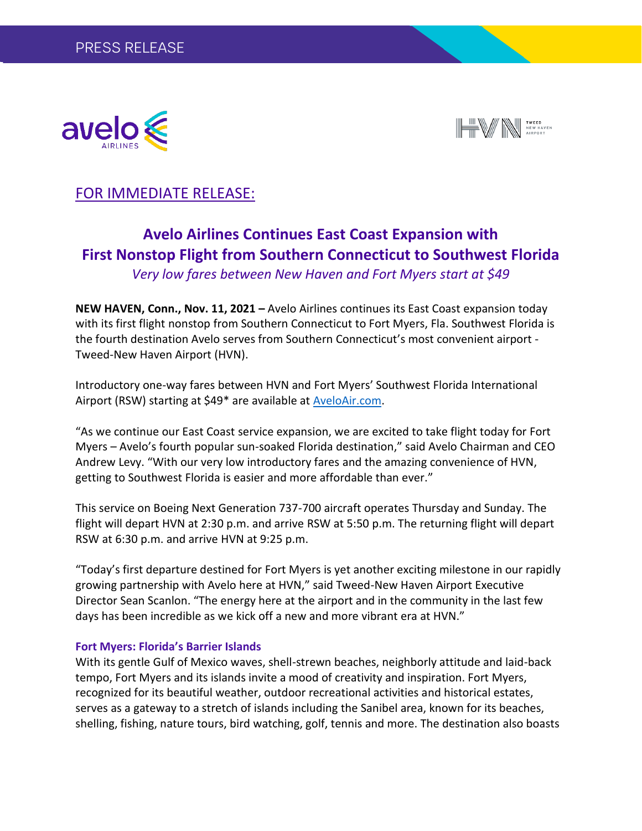



## FOR IMMEDIATE RELEASE:

# **Avelo Airlines Continues East Coast Expansion with First Nonstop Flight from Southern Connecticut to Southwest Florida**

*Very low fares between New Haven and Fort Myers start at \$49*

**NEW HAVEN, Conn., Nov. 11, 2021 –** Avelo Airlines continues its East Coast expansion today with its first flight nonstop from Southern Connecticut to Fort Myers, Fla. Southwest Florida is the fourth destination Avelo serves from Southern Connecticut's most convenient airport - Tweed-New Haven Airport (HVN).

Introductory one-way fares between HVN and Fort Myers' Southwest Florida International Airport (RSW) starting at \$49\* are available at [AveloAir.com.](http://www.aveloair.com/)

"As we continue our East Coast service expansion, we are excited to take flight today for Fort Myers – Avelo's fourth popular sun-soaked Florida destination," said Avelo Chairman and CEO Andrew Levy. "With our very low introductory fares and the amazing convenience of HVN, getting to Southwest Florida is easier and more affordable than ever."

This service on Boeing Next Generation 737-700 aircraft operates Thursday and Sunday. The flight will depart HVN at 2:30 p.m. and arrive RSW at 5:50 p.m. The returning flight will depart RSW at 6:30 p.m. and arrive HVN at 9:25 p.m.

"Today's first departure destined for Fort Myers is yet another exciting milestone in our rapidly growing partnership with Avelo here at HVN," said Tweed-New Haven Airport Executive Director Sean Scanlon. "The energy here at the airport and in the community in the last few days has been incredible as we kick off a new and more vibrant era at HVN."

### **Fort Myers: Florida's Barrier Islands**

With its gentle Gulf of Mexico waves, shell-strewn beaches, neighborly attitude and laid-back tempo, Fort Myers and its islands invite a mood of creativity and inspiration. Fort Myers, recognized for its beautiful weather, outdoor recreational activities and historical estates, serves as a gateway to a stretch of islands including the Sanibel area, known for its beaches, shelling, fishing, nature tours, bird watching, golf, tennis and more. The destination also boasts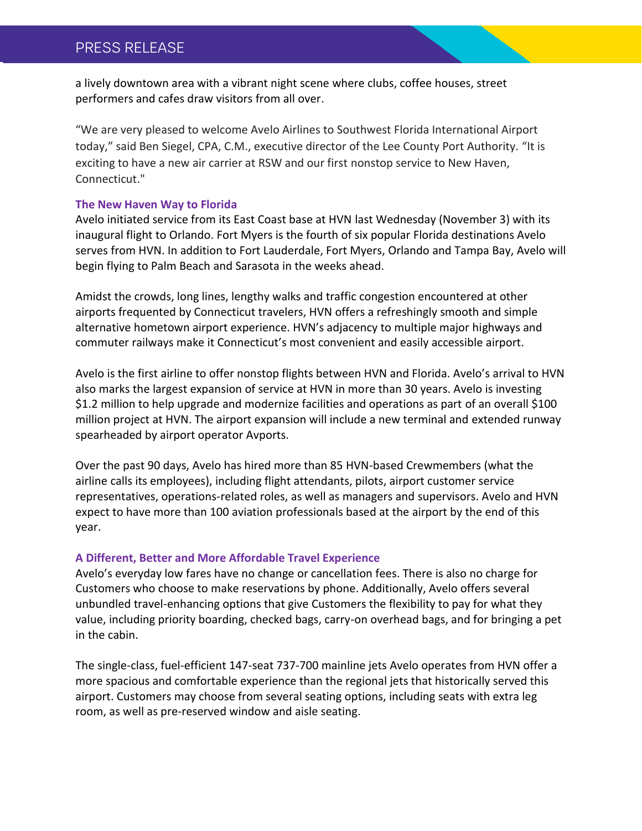## PRESS RELEASE

a lively downtown area with a vibrant night scene where clubs, coffee houses, street performers and cafes draw visitors from all over.

"We are very pleased to welcome Avelo Airlines to Southwest Florida International Airport today," said Ben Siegel, CPA, C.M., executive director of the Lee County Port Authority. "It is exciting to have a new air carrier at RSW and our first nonstop service to New Haven, Connecticut."

#### **The New Haven Way to Florida**

Avelo initiated service from its East Coast base at HVN last Wednesday (November 3) with its inaugural flight to Orlando. Fort Myers is the fourth of six popular Florida destinations Avelo serves from HVN. In addition to Fort Lauderdale, Fort Myers, Orlando and Tampa Bay, Avelo will begin flying to Palm Beach and Sarasota in the weeks ahead.

Amidst the crowds, long lines, lengthy walks and traffic congestion encountered at other airports frequented by Connecticut travelers, HVN offers a refreshingly smooth and simple alternative hometown airport experience. HVN's adjacency to multiple major highways and commuter railways make it Connecticut's most convenient and easily accessible airport.

Avelo is the first airline to offer nonstop flights between HVN and Florida. Avelo's arrival to HVN also marks the largest expansion of service at HVN in more than 30 years. Avelo is investing \$1.2 million to help upgrade and modernize facilities and operations as part of an overall \$100 million project at HVN. The airport expansion will include a new terminal and extended runway spearheaded by airport operator Avports.

Over the past 90 days, Avelo has hired more than 85 HVN-based Crewmembers (what the airline calls its employees), including flight attendants, pilots, airport customer service representatives, operations-related roles, as well as managers and supervisors. Avelo and HVN expect to have more than 100 aviation professionals based at the airport by the end of this year.

#### **A Different, Better and More Affordable Travel Experience**

Avelo's everyday low fares have no change or cancellation fees. There is also no charge for Customers who choose to make reservations by phone. Additionally, Avelo offers several unbundled travel-enhancing options that give Customers the flexibility to pay for what they value, including priority boarding, checked bags, carry-on overhead bags, and for bringing a pet in the cabin.

The single-class, fuel-efficient 147-seat 737-700 mainline jets Avelo operates from HVN offer a more spacious and comfortable experience than the regional jets that historically served this airport. Customers may choose from several seating options, including seats with extra leg room, as well as pre-reserved window and aisle seating.